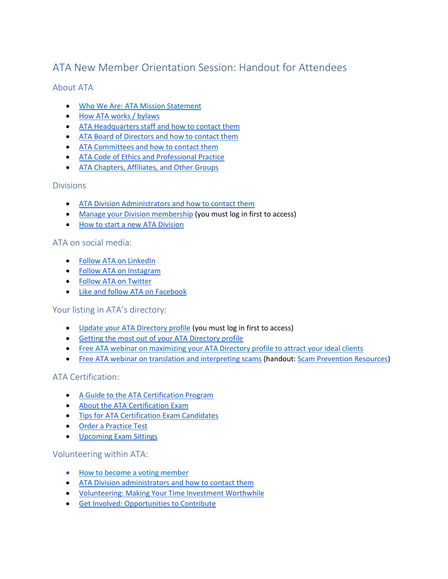# ATA New Member Orientation Session: Handout for Attendees

# About ATA

- Who We Are: ATA Mission Statement
- How ATA works / bylaws
- ATA Headquarters staff and how to contact them
- ATA Board of Directors and how to contact them
- ATA Committees and how to contact them
- ATA Code of Ethics and Professional Practice
- ATA Chapters, Affiliates, and Other Groups

#### Divisions

- ATA Division Administrators and how to contact them
- Manage your Division membership (you must log in first to access)
- How to start a new ATA Division

#### ATA on social media:

- Follow ATA on LinkedIn
- Follow ATA on Instagram
- Follow ATA on Twitter
- Like and follow ATA on Facebook

# Your listing in ATA's directory:

- Update your ATA Directory profile (you must log in first to access)
- Getting the most out of your ATA Directory profile
- Free ATA webinar on maximizing your ATA Directory profile to attract your ideal clients
- Free ATA webinar on translation and interpreting scams (handout: Scam Prevention Resources)

# ATA Certification:

- A Guide to the ATA Certification Program
- About the ATA Certification Exam
- Tips for ATA Certification Exam Candidates
- Order a Practice Test
- Upcoming Exam Sittings

#### Volunteering within ATA:

- How to become a voting member
- ATA Division administrators and how to contact them
- Volunteering: Making Your Time Investment Worthwhile
- Get Involved: Opportunities to Contribute